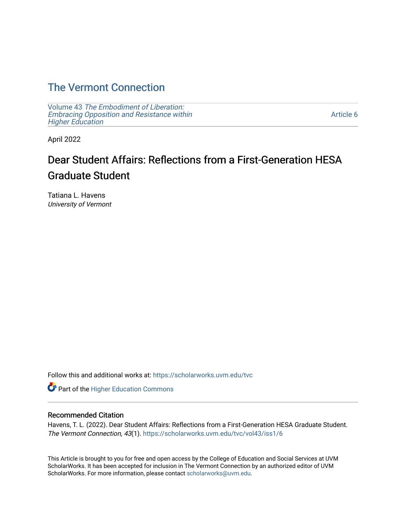## [The Vermont Connection](https://scholarworks.uvm.edu/tvc)

Volume 43 [The Embodiment of Liberation:](https://scholarworks.uvm.edu/tvc/vol43) [Embracing Opposition and Resistance within](https://scholarworks.uvm.edu/tvc/vol43)  [Higher Education](https://scholarworks.uvm.edu/tvc/vol43) 

[Article 6](https://scholarworks.uvm.edu/tvc/vol43/iss1/6) 

April 2022

# Dear Student Affairs: Reflections from a First-Generation HESA Graduate Student

Tatiana L. Havens University of Vermont

Follow this and additional works at: [https://scholarworks.uvm.edu/tvc](https://scholarworks.uvm.edu/tvc?utm_source=scholarworks.uvm.edu%2Ftvc%2Fvol43%2Fiss1%2F6&utm_medium=PDF&utm_campaign=PDFCoverPages)

Part of the [Higher Education Commons](http://network.bepress.com/hgg/discipline/1245?utm_source=scholarworks.uvm.edu%2Ftvc%2Fvol43%2Fiss1%2F6&utm_medium=PDF&utm_campaign=PDFCoverPages) 

## Recommended Citation

Havens, T. L. (2022). Dear Student Affairs: Reflections from a First-Generation HESA Graduate Student. The Vermont Connection, 43(1). [https://scholarworks.uvm.edu/tvc/vol43/iss1/6](https://scholarworks.uvm.edu/tvc/vol43/iss1/6?utm_source=scholarworks.uvm.edu%2Ftvc%2Fvol43%2Fiss1%2F6&utm_medium=PDF&utm_campaign=PDFCoverPages) 

This Article is brought to you for free and open access by the College of Education and Social Services at UVM ScholarWorks. It has been accepted for inclusion in The Vermont Connection by an authorized editor of UVM ScholarWorks. For more information, please contact [scholarworks@uvm.edu](mailto:scholarworks@uvm.edu).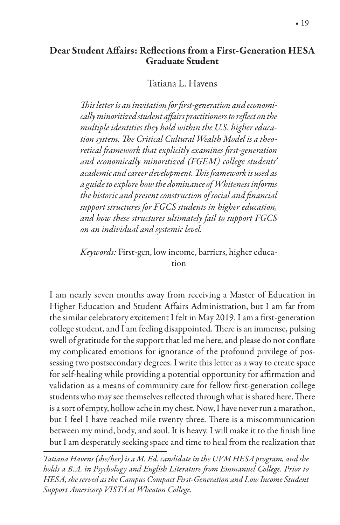## Dear Student A"airs: Re#ections from a First-Generation HESA Graduate Student

Tatiana L. Havens

This letter is an invitation for first-generation and economi*cally minoritized student a*"*airs practitioners to re*(*ect on the multiple identities they hold within the U.S. higher education system.* \$*e Critical Cultural Wealth Model is a theoretical* !*amework that explicitly examines* &*rst-generation and economically minoritized (FGEM) college students' academic and career development.* \$*is* !*amework is used as a guide to explore how the dominance of Whiteness informs the historic and present construction of social and financial support structures for FGCS students in higher education, and how these structures ultimately fail to support FGCS on an individual and systemic level.*

*Keywords:* First-gen, low income, barriers, higher education

I am nearly seven months away from receiving a Master of Education in Higher Education and Student Affairs Administration, but I am far from the similar celebratory excitement I felt in May 2019. I am a first-generation college student, and I am feeling disappointed. There is an immense, pulsing swell of gratitude for the support that led me here, and please do not conflate my complicated emotions for ignorance of the profound privilege of possessing two postsecondary degrees. I write this letter as a way to create space for self-healing while providing a potential opportunity for affirmation and validation as a means of community care for fellow first-generation college students who may see themselves reflected through what is shared here. There is a sort of empty, hollow ache in my chest. Now, I have never run a marathon, but I feel I have reached mile twenty three. There is a miscommunication between my mind, body, and soul. It is heavy. I will make it to the finish line but I am desperately seeking space and time to heal from the realization that

*Tatiana Havens (she/her) is a M. Ed. candidate in the UVM HESA program, and she holds a B.A. in Psychology and English Literature* !*om Emmanuel College. Prior to HESA, she served as the Campus Compact First-Generation and Low Income Student Support Americorp VISTA at Wheaton College.*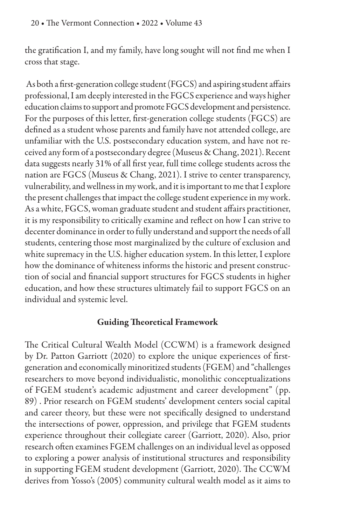the gratification I, and my family, have long sought will not find me when I cross that stage.

As both a first-generation college student (FGCS) and aspiring student affairs professional, I am deeply interested in the FGCS experience and ways higher education claims to support and promote FGCS development and persistence. For the purposes of this letter, first-generation college students (FGCS) are defined as a student whose parents and family have not attended college, are unfamiliar with the U.S. postsecondary education system, and have not received any form of a postsecondary degree (Museus & Chang, 2021). Recent data suggests nearly 31% of all first year, full time college students across the nation are FGCS (Museus & Chang, 2021). I strive to center transparency, vulnerability, and wellness in my work, and it is important to me that I explore the present challenges that impact the college student experience in my work. As a white, FGCS, woman graduate student and student affairs practitioner, it is my responsibility to critically examine and reflect on how I can strive to decenter dominance in order to fully understand and support the needs of all students, centering those most marginalized by the culture of exclusion and white supremacy in the U.S. higher education system. In this letter, I explore how the dominance of whiteness informs the historic and present construction of social and financial support structures for FGCS students in higher education, and how these structures ultimately fail to support FGCS on an individual and systemic level.

## Guiding Theoretical Framework

The Critical Cultural Wealth Model (CCWM) is a framework designed by Dr. Patton Garriott (2020) to explore the unique experiences of firstgeneration and economically minoritized students (FGEM) and "challenges researchers to move beyond individualistic, monolithic conceptualizations of FGEM student's academic adjustment and career development" (pp. 89) . Prior research on FGEM students' development centers social capital and career theory, but these were not specifically designed to understand the intersections of power, oppression, and privilege that FGEM students experience throughout their collegiate career (Garriott, 2020). Also, prior research often examines FGEM challenges on an individual level as opposed to exploring a power analysis of institutional structures and responsibility in supporting FGEM student development (Garriott, 2020). The CCWM derives from Yosso's (2005) community cultural wealth model as it aims to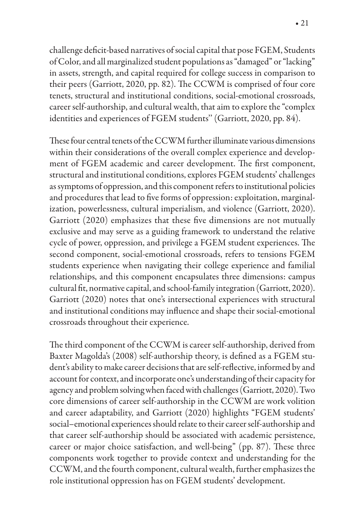challenge deficit-based narratives of social capital that pose FGEM, Students of Color, and all marginalized student populations as "damaged" or "lacking" in assets, strength, and capital required for college success in comparison to their peers (Garriott, 2020, pp. 82). The CCWM is comprised of four core tenets, structural and institutional conditions, social-emotional crossroads, career self-authorship, and cultural wealth, that aim to explore the "complex identities and experiences of FGEM students'' (Garriott, 2020, pp. 84).

These four central tenets of the CCWM further illuminate various dimensions within their considerations of the overall complex experience and development of FGEM academic and career development. The first component, structural and institutional conditions, explores FGEM students' challenges as symptoms of oppression, and this component refers to institutional policies and procedures that lead to five forms of oppression: exploitation, marginalization, powerlessness, cultural imperialism, and violence (Garriott, 2020). Garriott (2020) emphasizes that these five dimensions are not mutually exclusive and may serve as a guiding framework to understand the relative cycle of power, oppression, and privilege a FGEM student experiences. The second component, social-emotional crossroads, refers to tensions FGEM students experience when navigating their college experience and familial relationships, and this component encapsulates three dimensions: campus cultural fit, normative capital, and school-family integration (Garriott, 2020). Garriott (2020) notes that one's intersectional experiences with structural and institutional conditions may influence and shape their social-emotional crossroads throughout their experience.

The third component of the CCWM is career self-authorship, derived from Baxter Magolda's (2008) self-authorship theory, is defined as a FGEM student's ability to make career decisions that are self-reflective, informed by and account for context, and incorporate one's understanding of their capacity for agency and problem solving when faced with challenges (Garriott, 2020). Two core dimensions of career self-authorship in the CCWM are work volition and career adaptability, and Garriott (2020) highlights "FGEM students' social–emotional experiences should relate to their career self-authorship and that career self-authorship should be associated with academic persistence, career or major choice satisfaction, and well-being" (pp. 87). These three components work together to provide context and understanding for the CCWM, and the fourth component, cultural wealth, further emphasizes the role institutional oppression has on FGEM students' development.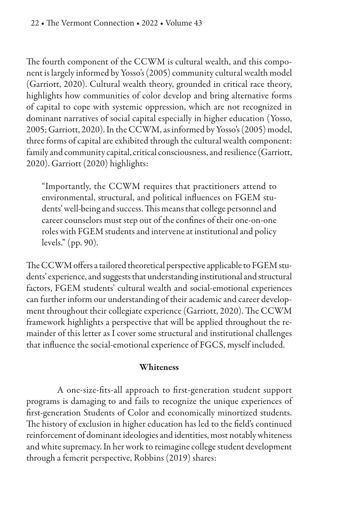The fourth component of the CCWM is cultural wealth, and this component is largely informed by Yosso's (2005) community cultural wealth model (Garriott, 2020). Cultural wealth theory, grounded in critical race theory, highlights how communities of color develop and bring alternative forms of capital to cope with systemic oppression, which are not recognized in dominant narratives of social capital especially in higher education (Yosso, 2005; Garriott, 2020). In the CCWM, as informed by Yosso's (2005) model, three forms of capital are exhibited through the cultural wealth component: family and community capital, critical consciousness, and resilience (Garriott, 2020). Garriott (2020) highlights:

"Importantly, the CCWM requires that practitioners attend to environmental, structural, and political influences on FGEM students' well-being and success. This means that college personnel and career counselors must step out of the confines of their one-on-one roles with FGEM students and intervene at institutional and policy levels." (pp. 90).

The CCWM offers a tailored theoretical perspective applicable to FGEM students' experience, and suggests that understanding institutional and structural factors, FGEM students' cultural wealth and social-emotional experiences can further inform our understanding of their academic and career development throughout their collegiate experience (Garriott, 2020). The CCWM framework highlights a perspective that will be applied throughout the remainder of this letter as I cover some structural and institutional challenges that influence the social-emotional experience of FGCS, myself included.

## Whiteness

A one-size-fits-all approach to first-generation student support programs is damaging to and fails to recognize the unique experiences of first-generation Students of Color and economically minortized students. The history of exclusion in higher education has led to the field's continued reinforcement of dominant ideologies and identities, most notably whiteness and white supremacy. In her work to reimagine college student development through a femcrit perspective, Robbins (2019) shares: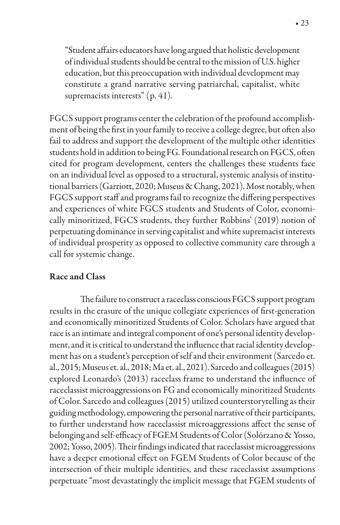"Student affairs educators have long argued that holistic development of individual students should be central to the mission of U.S. higher education, but this preoccupation with individual development may constitute a grand narrative serving patriarchal, capitalist, white supremacists interests" (p. 41).

FGCS support programs center the celebration of the profound accomplishment of being the first in your family to receive a college degree, but often also fail to address and support the development of the multiple other identities students hold in addition to being FG. Foundational research on FGCS, often cited for program development, centers the challenges these students face on an individual level as opposed to a structural, systemic analysis of institutional barriers (Garriott, 2020; Museus & Chang, 2021). Most notably, when FGCS support staff and programs fail to recognize the differing perspectives and experiences of white FGCS students and Students of Color, economically minoritized, FGCS students, they further Robbins' (2019) notion of perpetuating dominance in serving capitalist and white supremacist interests of individual prosperity as opposed to collective community care through a call for systemic change.

## Race and Class

The failure to construct a raceclass conscious FGCS support program results in the erasure of the unique collegiate experiences of first-generation and economically minoritized Students of Color. Scholars have argued that race is an intimate and integral component of one's personal identity development, and it is critical to understand the influence that racial identity development has on a student's perception of self and their environment (Sarcedo et. al., 2015; Museus et. al., 2018; Ma et. al., 2021). Sarcedo and colleagues (2015) explored Leonardo's (2013) raceclass frame to understand the influence of raceclassist microaggressions on FG and economically minoritized Students of Color. Sarcedo and colleagues (2015) utilized counterstorytelling as their guiding methodology, empowering the personal narrative of their participants, to further understand how raceclassist microaggressions affect the sense of belonging and self-efficacy of FGEM Students of Color (Solórzano & Yosso, 2002; Yosso, 2005). Their findings indicated that raceclassist microaggressions have a deeper emotional effect on FGEM Students of Color because of the intersection of their multiple identities, and these raceclassist assumptions perpetuate "most devastatingly the implicit message that FGEM students of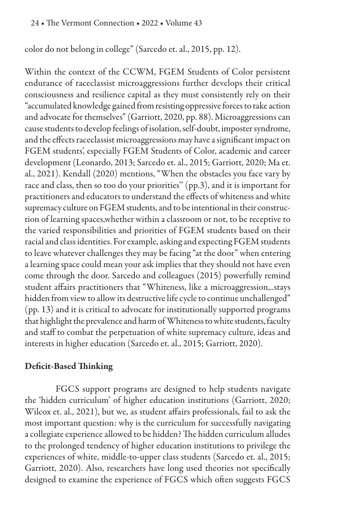color do not belong in college" (Sarcedo et. al., 2015, pp. 12).

Within the context of the CCWM, FGEM Students of Color persistent endurance of raceclassist microaggressions further develops their critical consciousness and resilience capital as they must consistently rely on their "accumulated knowledge gained from resisting oppressive forces to take action and advocate for themselves" (Garriott, 2020, pp. 88). Microaggressions can cause students to develop feelings of isolation, self-doubt, imposter syndrome, and the effects raceclassist microaggressions may have a significant impact on FGEM students', especially FGEM Students of Color, academic and career development (Leonardo, 2013; Sarcedo et. al., 2015; Garriott, 2020; Ma et. al., 2021). Kendall (2020) mentions, "When the obstacles you face vary by race and class, then so too do your priorities'' (pp.3), and it is important for practitioners and educators to understand the effects of whiteness and white supremacy culture on FGEM students, and to be intentional in their construction of learning spaces,whether within a classroom or not, to be receptive to the varied responsibilities and priorities of FGEM students based on their racial and class identities. For example, asking and expecting FGEM students to leave whatever challenges they may be facing "at the door" when entering a learning space could mean your ask implies that they should not have even come through the door. Sarcedo and colleagues (2015) powerfully remind student affairs practitioners that "Whiteness, like a microaggression,..stays hidden from view to allow its destructive life cycle to continue unchallenged" (pp. 13) and it is critical to advocate for institutionally supported programs that highlight the prevalence and harm of Whiteness to white students, faculty and staff to combat the perpetuation of white supremacy culture, ideas and interests in higher education (Sarcedo et. al., 2015; Garriott, 2020).

## Deficit-Based Thinking

FGCS support programs are designed to help students navigate the 'hidden curriculum' of higher education institutions (Garriott, 2020; Wilcox et. al., 2021), but we, as student affairs professionals, fail to ask the most important question: why is the curriculum for successfully navigating a collegiate experience allowed to be hidden? The hidden curriculum alludes to the prolonged tendency of higher education institutions to privilege the experiences of white, middle-to-upper class students (Sarcedo et. al., 2015; Garriott, 2020). Also, researchers have long used theories not specifically designed to examine the experience of FGCS which often suggests FGCS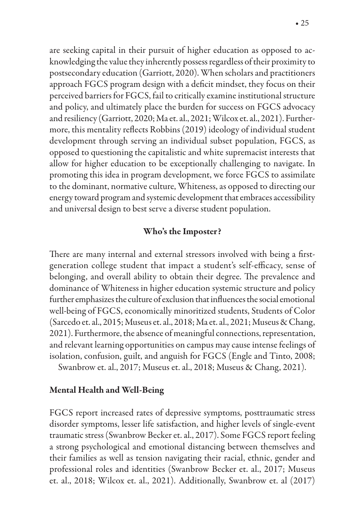are seeking capital in their pursuit of higher education as opposed to acknowledging the value they inherently possess regardless of their proximity to postsecondary education (Garriott, 2020). When scholars and practitioners approach FGCS program design with a deficit mindset, they focus on their perceived barriers for FGCS, fail to critically examine institutional structure and policy, and ultimately place the burden for success on FGCS advocacy and resiliency (Garriott, 2020; Ma et. al., 2021; Wilcox et. al., 2021). Furthermore, this mentality reflects Robbins (2019) ideology of individual student development through serving an individual subset population, FGCS, as opposed to questioning the capitalistic and white supremacist interests that allow for higher education to be exceptionally challenging to navigate. In promoting this idea in program development, we force FGCS to assimilate to the dominant, normative culture, Whiteness, as opposed to directing our energy toward program and systemic development that embraces accessibility and universal design to best serve a diverse student population.

#### Who's the Imposter?

There are many internal and external stressors involved with being a firstgeneration college student that impact a student's self-efficacy, sense of belonging, and overall ability to obtain their degree. The prevalence and dominance of Whiteness in higher education systemic structure and policy further emphasizes the culture of exclusion that influences the social emotional well-being of FGCS, economically minoritized students, Students of Color (Sarcedo et. al., 2015; Museus et. al., 2018; Ma et. al., 2021; Museus & Chang, 2021). Furthermore, the absence of meaningful connections, representation, and relevant learning opportunities on campus may cause intense feelings of isolation, confusion, guilt, and anguish for FGCS (Engle and Tinto, 2008; Swanbrow et. al., 2017; Museus et. al., 2018; Museus & Chang, 2021).

#### Mental Health and Well-Being

FGCS report increased rates of depressive symptoms, posttraumatic stress disorder symptoms, lesser life satisfaction, and higher levels of single-event traumatic stress (Swanbrow Becker et. al., 2017). Some FGCS report feeling a strong psychological and emotional distancing between themselves and their families as well as tension navigating their racial, ethnic, gender and professional roles and identities (Swanbrow Becker et. al., 2017; Museus et. al., 2018; Wilcox et. al., 2021). Additionally, Swanbrow et. al (2017)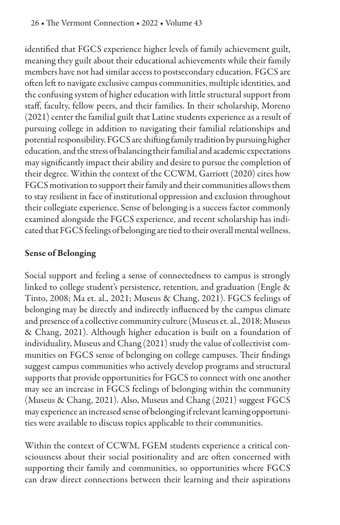identified that FGCS experience higher levels of family achievement guilt, meaning they guilt about their educational achievements while their family members have not had similar access to postsecondary education. FGCS are often left to navigate exclusive campus communities, multiple identities, and the confusing system of higher education with little structural support from staff, faculty, fellow peers, and their families. In their scholarship, Moreno (2021) center the familial guilt that Latine students experience as a result of pursuing college in addition to navigating their familial relationships and potential responsibility. FGCS are shifting family tradition by pursuing higher education, and the stress of balancing their familial and academic expectations may significantly impact their ability and desire to pursue the completion of their degree. Within the context of the CCWM, Garriott (2020) cites how FGCS motivation to support their family and their communities allows them to stay resilient in face of institutional oppression and exclusion throughout their collegiate experience. Sense of belonging is a success factor commonly examined alongside the FGCS experience, and recent scholarship has indicated that FGCS feelings of belonging are tied to their overall mental wellness.

## Sense of Belonging

Social support and feeling a sense of connectedness to campus is strongly linked to college student's persistence, retention, and graduation (Engle & Tinto, 2008; Ma et. al., 2021; Museus & Chang, 2021). FGCS feelings of belonging may be directly and indirectly influenced by the campus climate and presence of a collective community culture (Museus et. al., 2018; Museus & Chang, 2021). Although higher education is built on a foundation of individuality, Museus and Chang (2021) study the value of collectivist communities on FGCS sense of belonging on college campuses. Their findings suggest campus communities who actively develop programs and structural supports that provide opportunities for FGCS to connect with one another may see an increase in FGCS feelings of belonging within the community (Museus & Chang, 2021). Also, Museus and Chang (2021) suggest FGCS may experience an increased sense of belonging if relevant learning opportunities were available to discuss topics applicable to their communities.

Within the context of CCWM, FGEM students experience a critical consciousness about their social positionality and are often concerned with supporting their family and communities, so opportunities where FGCS can draw direct connections between their learning and their aspirations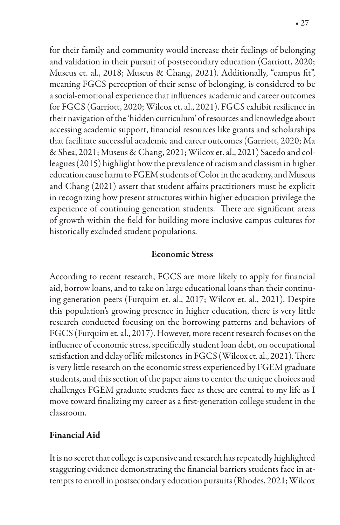for their family and community would increase their feelings of belonging and validation in their pursuit of postsecondary education (Garriott, 2020; Museus et. al., 2018; Museus & Chang, 2021). Additionally, "campus fit", meaning FGCS perception of their sense of belonging, is considered to be a social-emotional experience that influences academic and career outcomes for FGCS (Garriott, 2020; Wilcox et. al., 2021). FGCS exhibit resilience in their navigation of the 'hidden curriculum' of resources and knowledge about accessing academic support, financial resources like grants and scholarships that facilitate successful academic and career outcomes (Garriott, 2020; Ma & Shea, 2021; Museus & Chang, 2021; Wilcox et. al., 2021) Sacedo and colleagues (2015) highlight how the prevalence of racism and classism in higher education cause harm to FGEM students of Color in the academy, and Museus and Chang (2021) assert that student affairs practitioners must be explicit in recognizing how present structures within higher education privilege the experience of continuing generation students. There are significant areas of growth within the field for building more inclusive campus cultures for historically excluded student populations.

## Economic Stress

According to recent research, FGCS are more likely to apply for financial aid, borrow loans, and to take on large educational loans than their continuing generation peers (Furquim et. al., 2017; Wilcox et. al., 2021). Despite this population's growing presence in higher education, there is very little research conducted focusing on the borrowing patterns and behaviors of FGCS (Furquim et. al., 2017). However, more recent research focuses on the influence of economic stress, specifically student loan debt, on occupational satisfaction and delay of life milestones in FGCS (Wilcox et. al., 2021). There is very little research on the economic stress experienced by FGEM graduate students, and this section of the paper aims to center the unique choices and challenges FGEM graduate students face as these are central to my life as I move toward finalizing my career as a first-generation college student in the classroom.

## Financial Aid

It is no secret that college is expensive and research has repeatedly highlighted staggering evidence demonstrating the financial barriers students face in attempts to enroll in postsecondary education pursuits (Rhodes, 2021; Wilcox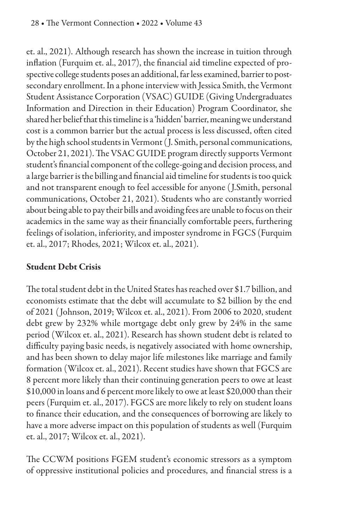et. al., 2021). Although research has shown the increase in tuition through inflation (Furquim et. al., 2017), the financial aid timeline expected of prospective college students poses an additional, far less examined, barrier to postsecondary enrollment. In a phone interview with Jessica Smith, the Vermont Student Assistance Corporation (VSAC) GUIDE (Giving Undergraduates Information and Direction in their Education) Program Coordinator, she shared her belief that this timeline is a 'hidden' barrier, meaning we understand cost is a common barrier but the actual process is less discussed, often cited by the high school students in Vermont ( J. Smith, personal communications, October 21, 2021). The VSAC GUIDE program directly supports Vermont student's financial component of the college-going and decision process, and a large barrier is the billing and financial aid timeline for students is too quick and not transparent enough to feel accessible for anyone ( J.Smith, personal communications, October 21, 2021). Students who are constantly worried about being able to pay their bills and avoiding fees are unable to focus on their academics in the same way as their financially comfortable peers, furthering feelings of isolation, inferiority, and imposter syndrome in FGCS (Furquim et. al., 2017; Rhodes, 2021; Wilcox et. al., 2021).

## Student Debt Crisis

The total student debt in the United States has reached over \$1.7 billion, and economists estimate that the debt will accumulate to \$2 billion by the end of 2021 ( Johnson, 2019; Wilcox et. al., 2021). From 2006 to 2020, student debt grew by 232% while mortgage debt only grew by 24% in the same period (Wilcox et. al., 2021). Research has shown student debt is related to difficulty paying basic needs, is negatively associated with home ownership, and has been shown to delay major life milestones like marriage and family formation (Wilcox et. al., 2021). Recent studies have shown that FGCS are 8 percent more likely than their continuing generation peers to owe at least \$10,000 in loans and 6 percent more likely to owe at least \$20,000 than their peers (Furquim et. al., 2017). FGCS are more likely to rely on student loans to finance their education, and the consequences of borrowing are likely to have a more adverse impact on this population of students as well (Furquim et. al., 2017; Wilcox et. al., 2021).

The CCWM positions FGEM student's economic stressors as a symptom of oppressive institutional policies and procedures, and financial stress is a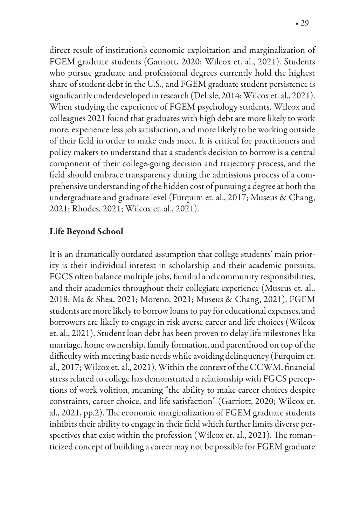direct result of institution's economic exploitation and marginalization of FGEM graduate students (Garriott, 2020; Wilcox et. al., 2021). Students who pursue graduate and professional degrees currently hold the highest share of student debt in the U.S., and FGEM graduate student persistence is significantly underdeveloped in research (Delisle, 2014; Wilcox et. al., 2021). When studying the experience of FGEM psychology students, Wilcox and colleagues 2021 found that graduates with high debt are more likely to work more, experience less job satisfaction, and more likely to be working outside of their field in order to make ends meet. It is critical for practitioners and policy makers to understand that a student's decision to borrow is a central component of their college-going decision and trajectory process, and the field should embrace transparency during the admissions process of a comprehensive understanding of the hidden cost of pursuing a degree at both the undergraduate and graduate level (Furquim et. al., 2017; Museus & Chang, 2021; Rhodes, 2021; Wilcox et. al., 2021).

## Life Beyond School

It is an dramatically outdated assumption that college students' main priority is their individual interest in scholarship and their academic pursuits. FGCS often balance multiple jobs, familial and community responsibilities, and their academics throughout their collegiate experience (Museus et. al., 2018; Ma & Shea, 2021; Moreno, 2021; Museus & Chang, 2021). FGEM students are more likely to borrow loans to pay for educational expenses, and borrowers are likely to engage in risk averse career and life choices (Wilcox et. al., 2021). Student loan debt has been proven to delay life milestones like marriage, home ownership, family formation, and parenthood on top of the difficulty with meeting basic needs while avoiding delinquency (Furquim et. al., 2017; Wilcox et. al., 2021). Within the context of the CCWM, financial stress related to college has demonstrated a relationship with FGCS perceptions of work volition, meaning "the ability to make career choices despite constraints, career choice, and life satisfaction" (Garriott, 2020; Wilcox et. al., 2021, pp.2). The economic marginalization of FGEM graduate students inhibits their ability to engage in their field which further limits diverse perspectives that exist within the profession (Wilcox et. al., 2021). The romanticized concept of building a career may not be possible for FGEM graduate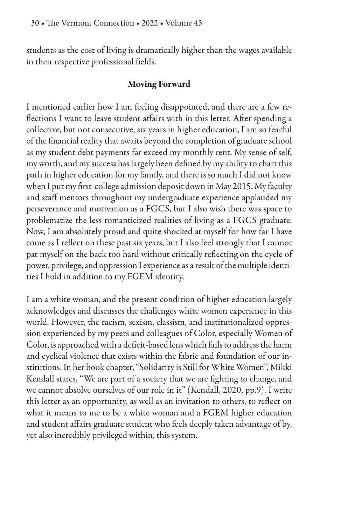students as the cost of living is dramatically higher than the wages available in their respective professional fields.

## Moving Forward

I mentioned earlier how I am feeling disappointed, and there are a few re flections I want to leave student affairs with in this letter. After spending a collective, but not consecutive, six years in higher education, I am so fearful of the financial reality that awaits beyond the completion of graduate school as my student debt payments far exceed my monthly rent. My sense of self, my worth, and my success has largely been defined by my ability to chart this path in higher education for my family, and there is so much I did not know when I put my first college admission deposit down in May 2015. My faculty and staff mentors throughout my undergraduate experience applauded my perseverance and motivation as a FGCS, but I also wish there was space to problematize the less romanticized realities of living as a FGCS graduate. Now, I am absolutely proud and quite shocked at myself for how far I have come as I reflect on these past six years, but I also feel strongly that I cannot pat myself on the back too hard without critically reflecting on the cycle of power, privilege, and oppression I experience as a result of the multiple identities I hold in addition to my FGEM identity.

I am a white woman, and the present condition of higher education largely acknowledges and discusses the challenges white women experience in this world. However, the racism, sexism, classism, and institutionalized oppression experienced by my peers and colleagues of Color, especially Women of Color, is approached with a deficit-based lens which fails to address the harm and cyclical violence that exists within the fabric and foundation of our institutions. In her book chapter, "Solidarity is Still for White Women'', Mikki Kendall states, "We are part of a society that we are fighting to change, and we cannot absolve ourselves of our role in it" (Kendall, 2020, pp.9). I write this letter as an opportunity, as well as an invitation to others, to reflect on what it means to me to be a white woman and a FGEM higher education and student affairs graduate student who feels deeply taken advantage of by, yet also incredibly privileged within, this system.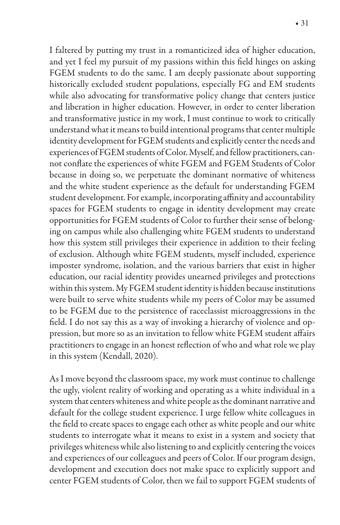I faltered by putting my trust in a romanticized idea of higher education, and yet I feel my pursuit of my passions within this field hinges on asking FGEM students to do the same. I am deeply passionate about supporting historically excluded student populations, especially FG and EM students while also advocating for transformative policy change that centers justice and liberation in higher education. However, in order to center liberation and transformative justice in my work, I must continue to work to critically understand what it means to build intentional programs that center multiple identity development for FGEM students and explicitly center the needs and experiences of FGEM students of Color. Myself, and fellow practitioners, cannot conflate the experiences of white FGEM and FGEM Students of Color because in doing so, we perpetuate the dominant normative of whiteness and the white student experience as the default for understanding FGEM student development. For example, incorporating affinity and accountability spaces for FGEM students to engage in identity development may create opportunities for FGEM students of Color to further their sense of belonging on campus while also challenging white FGEM students to understand how this system still privileges their experience in addition to their feeling of exclusion. Although white FGEM students, myself included, experience imposter syndrome, isolation, and the various barriers that exist in higher education, our racial identity provides unearned privileges and protections within this system. My FGEM student identity is hidden because institutions were built to serve white students while my peers of Color may be assumed to be FGEM due to the persistence of raceclassist microaggressions in the field. I do not say this as a way of invoking a hierarchy of violence and oppression, but more so as an invitation to fellow white FGEM student affairs practitioners to engage in an honest reflection of who and what role we play in this system (Kendall, 2020).

As I move beyond the classroom space, my work must continue to challenge the ugly, violent reality of working and operating as a white individual in a system that centers whiteness and white people as the dominant narrative and default for the college student experience. I urge fellow white colleagues in the field to create spaces to engage each other as white people and our white students to interrogate what it means to exist in a system and society that privileges whiteness while also listening to and explicitly centering the voices and experiences of our colleagues and peers of Color. If our program design, development and execution does not make space to explicitly support and center FGEM students of Color, then we fail to support FGEM students of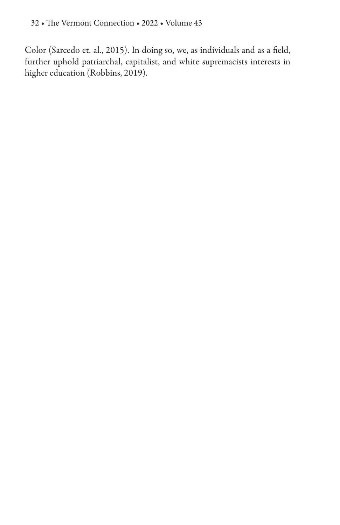Color (Sarcedo et. al., 2015). In doing so, we, as individuals and as a field, further uphold patriarchal, capitalist, and white supremacists interests in higher education (Robbins, 2019).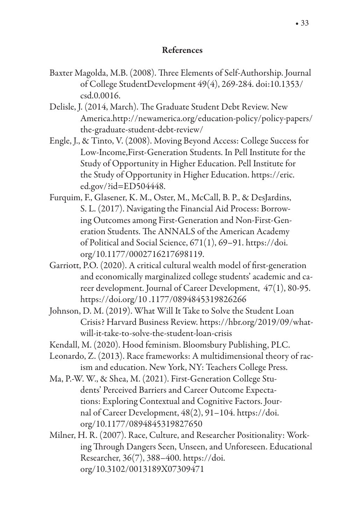## References

- Baxter Magolda, M.B. (2008). Three Elements of Self-Authorship. Journal of College StudentDevelopment 49(4), 269-284. doi:10.1353/ csd.0.0016.
- Delisle, J. (2014, March). The Graduate Student Debt Review. New America.http://newamerica.org/education-policy/policy-papers/ the-graduate-student-debt-review/
- Engle, J., & Tinto, V. (2008). Moving Beyond Access: College Success for Low-Income,First-Generation Students. In Pell Institute for the Study of Opportunity in Higher Education. Pell Institute for the Study of Opportunity in Higher Education. https://eric. ed.gov/?id=ED504448.
- Furquim, F., Glasener, K. M., Oster, M., McCall, B. P., & DesJardins, S. L. (2017). Navigating the Financial Aid Process: Borrowing Outcomes among First-Generation and Non-First-Generation Students. The ANNALS of the American Academy of Political and Social Science, 671(1), 69–91. https://doi. org/10.1177/0002716217698119.
- Garriott, P.O. (2020). A critical cultural wealth model of first-generation and economically marginalized college students' academic and career development. Journal of Career Development, 47(1), 80-95. https://doi.org/10 .1177/0894845319826266
- Johnson, D. M. (2019). What Will It Take to Solve the Student Loan Crisis? Harvard Business Review. https://hbr.org/2019/09/whatwill-it-take-to-solve-the-student-loan-crisis
- Kendall, M. (2020). Hood feminism. Bloomsbury Publishing, PLC.
- Leonardo, Z. (2013). Race frameworks: A multidimensional theory of racism and education. New York, NY: Teachers College Press.
- Ma, P.-W. W., & Shea, M. (2021). First-Generation College Students' Perceived Barriers and Career Outcome Expectations: Exploring Contextual and Cognitive Factors. Journal of Career Development, 48(2), 91–104. https://doi. org/10.1177/0894845319827650
- Milner, H. R. (2007). Race, Culture, and Researcher Positionality: Working Through Dangers Seen, Unseen, and Unforeseen. Educational Researcher, 36(7), 388–400. https://doi. org/10.3102/0013189X07309471